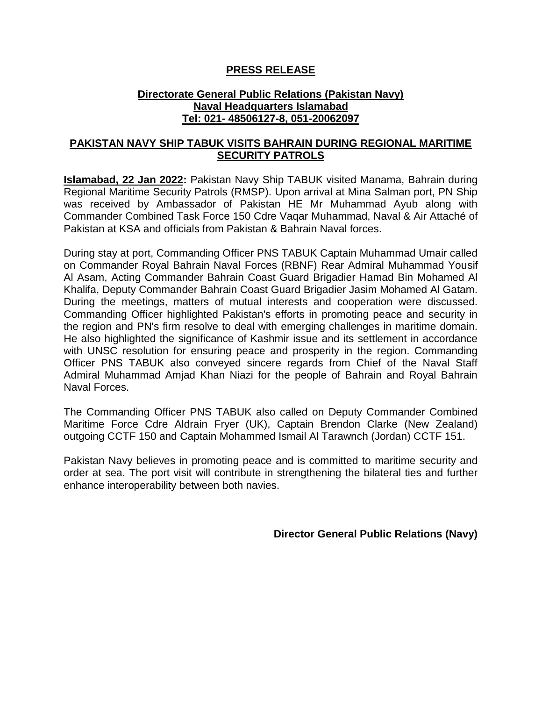## **PRESS RELEASE**

## **Directorate General Public Relations (Pakistan Navy) Naval Headquarters Islamabad Tel: 021- 48506127-8, 051-20062097**

## **PAKISTAN NAVY SHIP TABUK VISITS BAHRAIN DURING REGIONAL MARITIME SECURITY PATROLS**

**Islamabad, 22 Jan 2022:** Pakistan Navy Ship TABUK visited Manama, Bahrain during Regional Maritime Security Patrols (RMSP). Upon arrival at Mina Salman port, PN Ship was received by Ambassador of Pakistan HE Mr Muhammad Ayub along with Commander Combined Task Force 150 Cdre Vaqar Muhammad, Naval & Air Attaché of Pakistan at KSA and officials from Pakistan & Bahrain Naval forces.

During stay at port, Commanding Officer PNS TABUK Captain Muhammad Umair called on Commander Royal Bahrain Naval Forces (RBNF) Rear Admiral Muhammad Yousif Al Asam, Acting Commander Bahrain Coast Guard Brigadier Hamad Bin Mohamed Al Khalifa, Deputy Commander Bahrain Coast Guard Brigadier Jasim Mohamed Al Gatam. During the meetings, matters of mutual interests and cooperation were discussed. Commanding Officer highlighted Pakistan's efforts in promoting peace and security in the region and PN's firm resolve to deal with emerging challenges in maritime domain. He also highlighted the significance of Kashmir issue and its settlement in accordance with UNSC resolution for ensuring peace and prosperity in the region. Commanding Officer PNS TABUK also conveyed sincere regards from Chief of the Naval Staff Admiral Muhammad Amjad Khan Niazi for the people of Bahrain and Royal Bahrain Naval Forces.

The Commanding Officer PNS TABUK also called on Deputy Commander Combined Maritime Force Cdre Aldrain Fryer (UK), Captain Brendon Clarke (New Zealand) outgoing CCTF 150 and Captain Mohammed Ismail Al Tarawnch (Jordan) CCTF 151.

Pakistan Navy believes in promoting peace and is committed to maritime security and order at sea. The port visit will contribute in strengthening the bilateral ties and further enhance interoperability between both navies.

**Director General Public Relations (Navy)**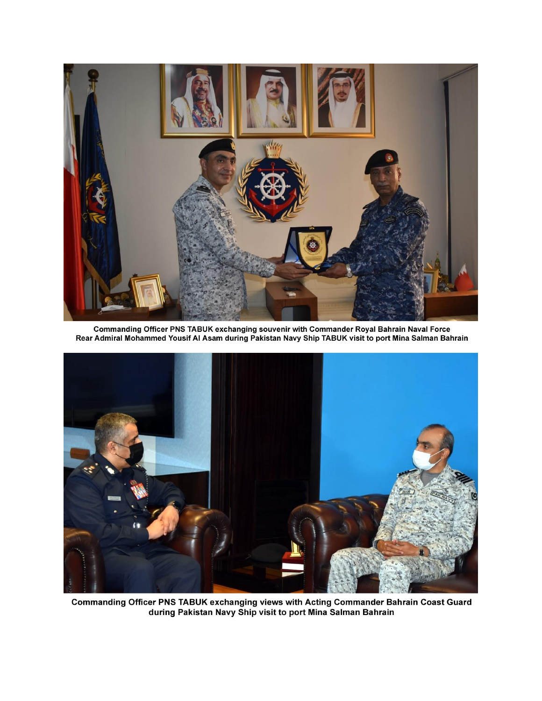

Commanding Officer PNS TABUK exchanging souvenir with Commander Royal Bahrain Naval Force<br>Rear Admiral Mohammed Yousif Al Asam during Pakistan Navy Ship TABUK visit to port Mina Salman Bahrain



Commanding Officer PNS TABUK exchanging views with Acting Commander Bahrain Coast Guard<br>during Pakistan Navy Ship visit to port Mina Salman Bahrain